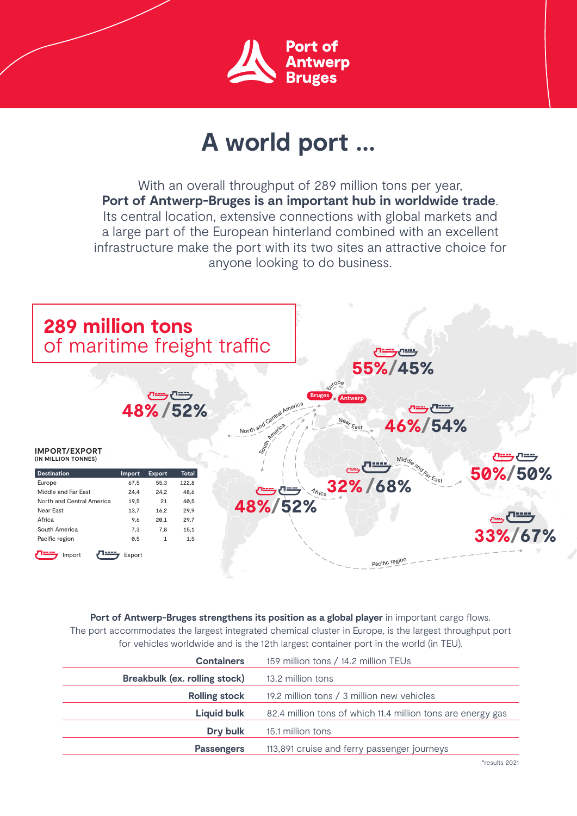

## **A world port ...**

With an overall throughput of 289 million tons per year, **Port of Antwerp-Bruges is an important hub in worldwide trade**. Its central location, extensive connections with global markets and a large part of the European hinterland combined with an excellent infrastructure make the port with its two sites an attractive choice for anyone looking to do business.



Port of Antwerp-Bruges strengthens its position as a global player in important cargo flows. The port accommodates the largest integrated chemical cluster in Europe, is the largest throughput port for vehicles worldwide and is the 12th largest container port in the world (in TEU).

| <b>Containers</b>             | 159 million tons / 14.2 million TEUs                        |
|-------------------------------|-------------------------------------------------------------|
| Breakbulk (ex. rolling stock) | 13.2 million tons                                           |
| <b>Rolling stock</b>          | 19.2 million tons / 3 million new vehicles                  |
| <b>Liquid bulk</b>            | 82.4 million tons of which 11.4 million tons are energy gas |
| Dry bulk                      | 15.1 million tons                                           |
| <b>Passengers</b>             | 113,891 cruise and ferry passenger journeys                 |
|                               |                                                             |

\*results 2021